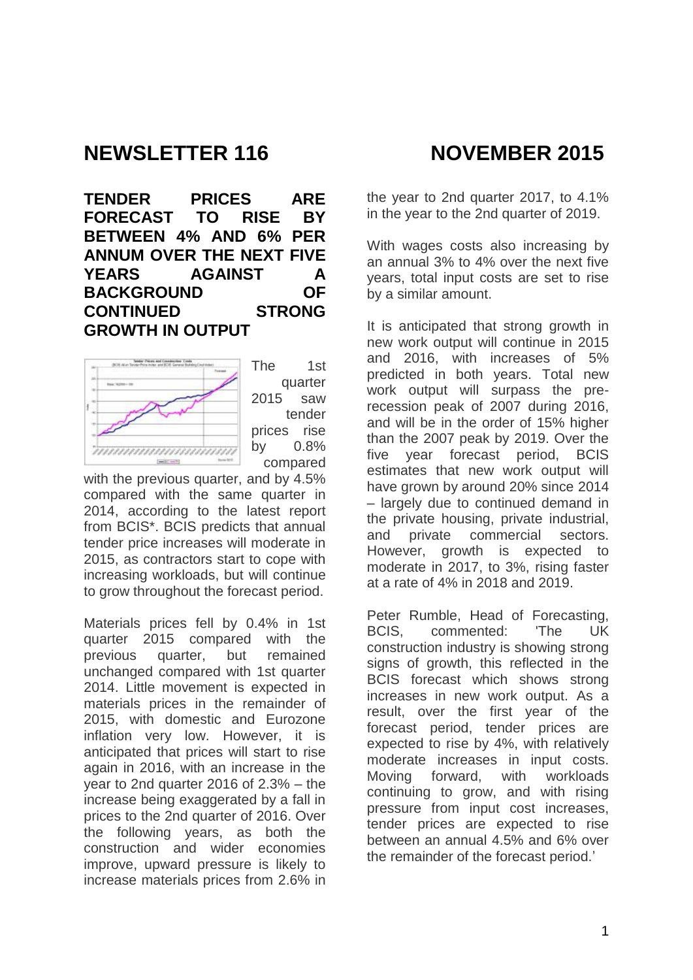# **NEWSLETTER 116 NOVEMBER 2015**

**TENDER PRICES ARE FORECAST TO RISE BY BETWEEN 4% AND 6% PER ANNUM OVER THE NEXT FIVE YEARS AGAINST A BACKGROUND OF CONTINUED STRONG GROWTH IN OUTPUT**



The 1st quarter 2015 saw tender prices rise by 0.8% compared

with the previous quarter, and by 4.5% compared with the same quarter in 2014, according to the latest report from BCIS\*. BCIS predicts that annual tender price increases will moderate in 2015, as contractors start to cope with increasing workloads, but will continue to grow throughout the forecast period.

Materials prices fell by 0.4% in 1st quarter 2015 compared with the previous quarter, but remained unchanged compared with 1st quarter 2014. Little movement is expected in materials prices in the remainder of 2015, with domestic and Eurozone inflation very low. However, it is anticipated that prices will start to rise again in 2016, with an increase in the year to 2nd quarter 2016 of 2.3% – the increase being exaggerated by a fall in prices to the 2nd quarter of 2016. Over the following years, as both the construction and wider economies improve, upward pressure is likely to increase materials prices from 2.6% in

the year to 2nd quarter 2017, to 4.1% in the year to the 2nd quarter of 2019.

With wages costs also increasing by an annual 3% to 4% over the next five years, total input costs are set to rise by a similar amount.

It is anticipated that strong growth in new work output will continue in 2015 and 2016, with increases of 5% predicted in both years. Total new work output will surpass the prerecession peak of 2007 during 2016, and will be in the order of 15% higher than the 2007 peak by 2019. Over the five year forecast period, BCIS estimates that new work output will have grown by around 20% since 2014 – largely due to continued demand in the private housing, private industrial, and private commercial sectors. However, growth is expected to moderate in 2017, to 3%, rising faster at a rate of 4% in 2018 and 2019.

Peter Rumble, Head of Forecasting, BCIS, commented: 'The UK construction industry is showing strong signs of growth, this reflected in the BCIS forecast which shows strong increases in new work output. As a result, over the first year of the forecast period, tender prices are expected to rise by 4%, with relatively moderate increases in input costs. Moving forward, with workloads continuing to grow, and with rising pressure from input cost increases, tender prices are expected to rise between an annual 4.5% and 6% over the remainder of the forecast period.'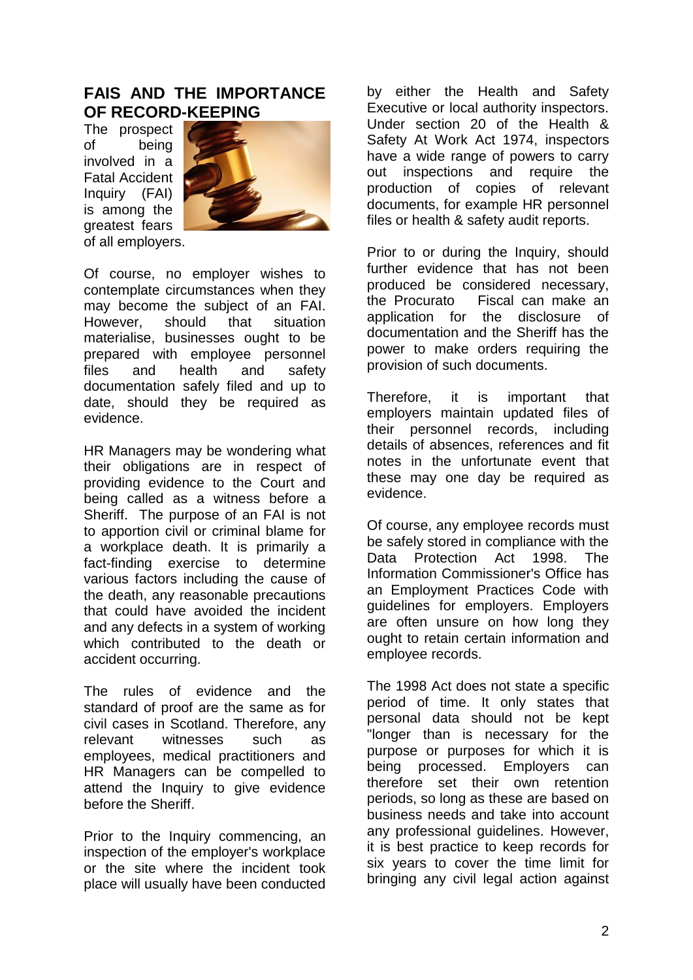## **FAIS AND THE IMPORTANCE OF RECORD-KEEPING**

The prospect of being involved in a Fatal Accident Inquiry (FAI) is among the greatest fears of all employers.



Of course, no employer wishes to contemplate circumstances when they may become the subject of an FAI. However, should that situation materialise, businesses ought to be prepared with employee personnel files and health and safety documentation safely filed and up to date, should they be required as evidence.

HR Managers may be wondering what their obligations are in respect of providing evidence to the Court and being called as a witness before a Sheriff. The purpose of an FAI is not to apportion civil or criminal blame for a workplace death. It is primarily a fact-finding exercise to determine various factors including the cause of the death, any reasonable precautions that could have avoided the incident and any defects in a system of working which contributed to the death or accident occurring.

The rules of evidence and the standard of proof are the same as for civil cases in Scotland. Therefore, any relevant witnesses such as employees, medical practitioners and HR Managers can be compelled to attend the Inquiry to give evidence before the Sheriff.

Prior to the Inquiry commencing, an inspection of the employer's workplace or the site where the incident took place will usually have been conducted

by either the Health and Safety Executive or local authority inspectors. Under section 20 of the Health & Safety At Work Act 1974, inspectors have a wide range of powers to carry out inspections and require the production of copies of relevant documents, for example HR personnel files or health & safety audit reports.

Prior to or during the Inquiry, should further evidence that has not been produced be considered necessary, the Procurato Fiscal can make an application for the disclosure of documentation and the Sheriff has the power to make orders requiring the provision of such documents.

Therefore, it is important that employers maintain updated files of their personnel records, including details of absences, references and fit notes in the unfortunate event that these may one day be required as evidence.

Of course, any employee records must be safely stored in compliance with the Data Protection Act 1998. The Information Commissioner's Office has an Employment Practices Code with guidelines for employers. Employers are often unsure on how long they ought to retain certain information and employee records.

The 1998 Act does not state a specific period of time. It only states that personal data should not be kept "longer than is necessary for the purpose or purposes for which it is being processed. Employers can therefore set their own retention periods, so long as these are based on business needs and take into account any professional guidelines. However, it is best practice to keep records for six years to cover the time limit for bringing any civil legal action against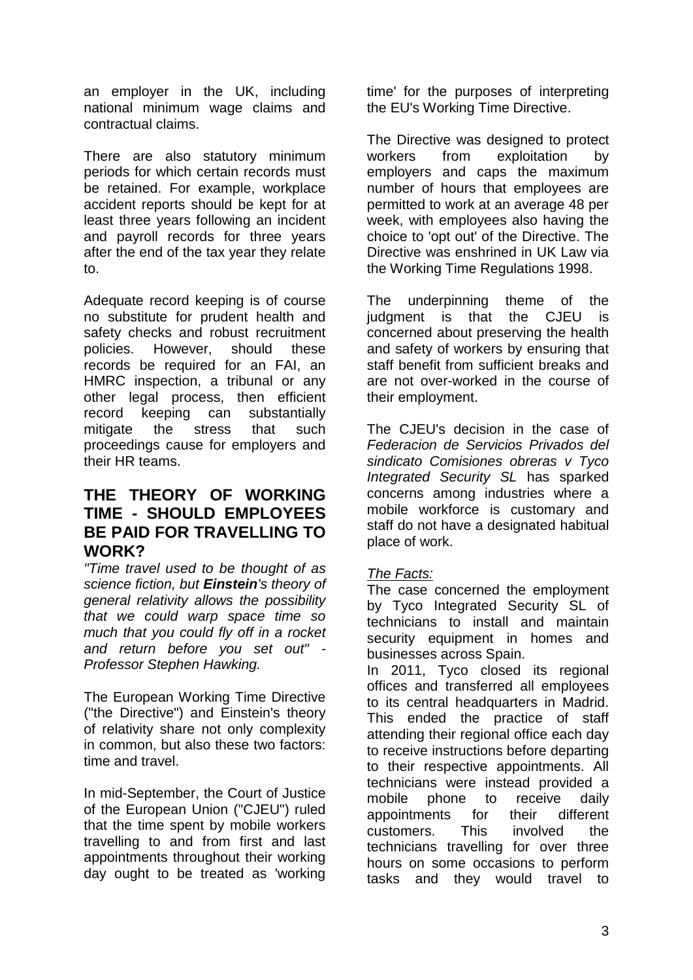an employer in the UK, including national minimum wage claims and contractual claims.

There are also statutory minimum periods for which certain records must be retained. For example, workplace accident reports should be kept for at least three years following an incident and payroll records for three years after the end of the tax year they relate to.

Adequate record keeping is of course no substitute for prudent health and safety checks and robust recruitment policies. However, should these records be required for an FAI, an HMRC inspection, a tribunal or any other legal process, then efficient record keeping can substantially mitigate the stress that such proceedings cause for employers and their HR teams.

## **THE THEORY OF WORKING TIME - SHOULD EMPLOYEES BE PAID FOR TRAVELLING TO WORK?**

*"Time travel used to be [thought of as](http://www.hollywoodreporter.com/heat-vision/simon-kinberg-explains-time-traveling-734716)  [science fiction,](http://www.hollywoodreporter.com/heat-vision/simon-kinberg-explains-time-traveling-734716) but Einstein's theory of general relativity allows the possibility that we could warp space time so much that you could fly off in a rocket and return before you set out" - Professor Stephen Hawking.*

The European Working Time Directive ("the Directive") and Einstein's theory of relativity share not only complexity in common, but also these two factors: time and travel.

In mid-September, [the Court of Justice](http://curia.europa.eu/jcms/upload/docs/application/pdf/2015-09/cp150099en.pdf)  [of the European Union \("CJEU"\) ruled](http://curia.europa.eu/jcms/upload/docs/application/pdf/2015-09/cp150099en.pdf) that the time spent by mobile workers travelling to and from first and last appointments throughout their working day ought to be treated as 'working time' for the purposes of interpreting the EU's [Working Time Directive.](http://ec.europa.eu/social/main.jsp?catId=706&langId=en&intPageId=205)

The Directive was designed to protect workers from exploitation by employers and caps the maximum number of hours that employees are permitted to work at an average 48 per week, with employees also having the choice to 'opt out' of the Directive. The Directive was enshrined in UK Law via the Working Time Regulations 1998.

The underpinning theme of the judgment is that the CJEU is concerned about preserving the health and safety of workers by ensuring that staff benefit from sufficient breaks and are not over-worked in the course of their employment.

The CJEU's decision in the case of *Federacion de Servicios Privados del sindicato Comisiones obreras v Tyco Integrated Security SL* has sparked concerns among industries where a mobile workforce is customary and staff do not have a designated habitual place of work.

## *The Facts:*

The case concerned the employment by Tyco Integrated Security SL of technicians to install and maintain security equipment in homes and businesses across Spain.

In 2011, Tyco closed its regional offices and transferred all employees to its central headquarters in Madrid. This ended the practice of staff attending their regional office each day to receive instructions before departing to their respective appointments. All technicians were instead provided a mobile phone to receive daily appointments for their different customers. This involved the technicians travelling for over three hours on some occasions to perform tasks and they would travel to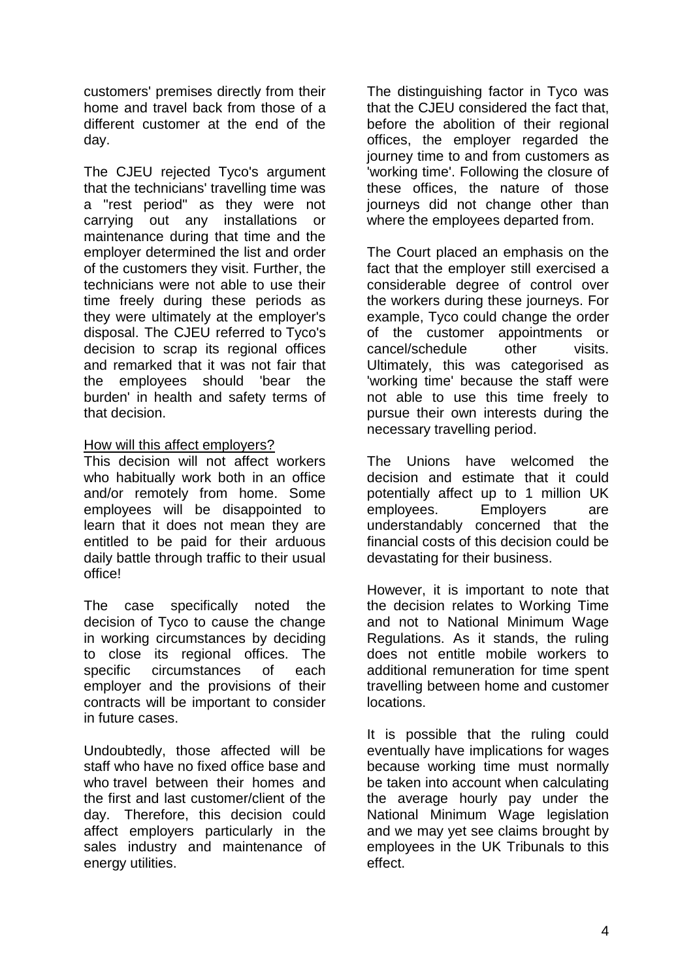customers' premises directly from their home and travel back from those of a different customer at the end of the day.

The CJEU rejected Tyco's argument that the technicians' travelling time was a "rest period" as they were not carrying out any installations or maintenance during that time and the employer determined the list and order of the customers they visit. Further, the technicians were not able to use their time freely during these periods as they were ultimately at the employer's disposal. The CJEU referred to Tyco's decision to scrap its regional offices and remarked that it was not fair that the employees should 'bear the burden' in health and safety terms of that decision.

### How will this affect employers?

This decision will not affect workers who habitually work both in an office and/or remotely from home. Some employees will be disappointed to learn that it does not mean they are entitled to be paid for their arduous daily battle through traffic to their usual office!

The case specifically noted the decision of Tyco to cause the change in working circumstances by deciding to close its regional offices. The specific circumstances of each employer and the provisions of their contracts will be important to consider in future cases.

Undoubtedly, those affected will be staff who have no fixed office base and who travel between their homes and the first and last customer/client of the day. Therefore, this decision could affect employers particularly in the sales industry and maintenance of energy utilities.

The distinguishing factor in Tyco was that the CJEU considered the fact that, before the abolition of their regional offices, the employer regarded the journey time to and from customers as 'working time'. Following the closure of these offices, the nature of those journeys did not change other than where the employees departed from.

The Court placed an emphasis on the fact that the employer still exercised a considerable degree of control over the workers during these journeys. For example, Tyco could change the order of the customer appointments or cancel/schedule other visits. Ultimately, this was categorised as 'working time' because the staff were not able to use this time freely to pursue their own interests during the necessary travelling period.

The Unions have welcomed the decision and estimate that it could potentially affect up to 1 million UK employees. Employers are understandably concerned that the financial costs of this decision could be devastating for their business.

However, it is important to note that the decision relates to Working Time and not to National Minimum Wage Regulations. As it stands, the ruling does not entitle mobile workers to additional remuneration for time spent travelling between home and customer locations.

It is possible that the ruling could eventually have implications for wages because working time must normally be taken into account when calculating the average hourly pay under the National Minimum Wage legislation and we may yet see claims brought by employees in the UK Tribunals to this effect.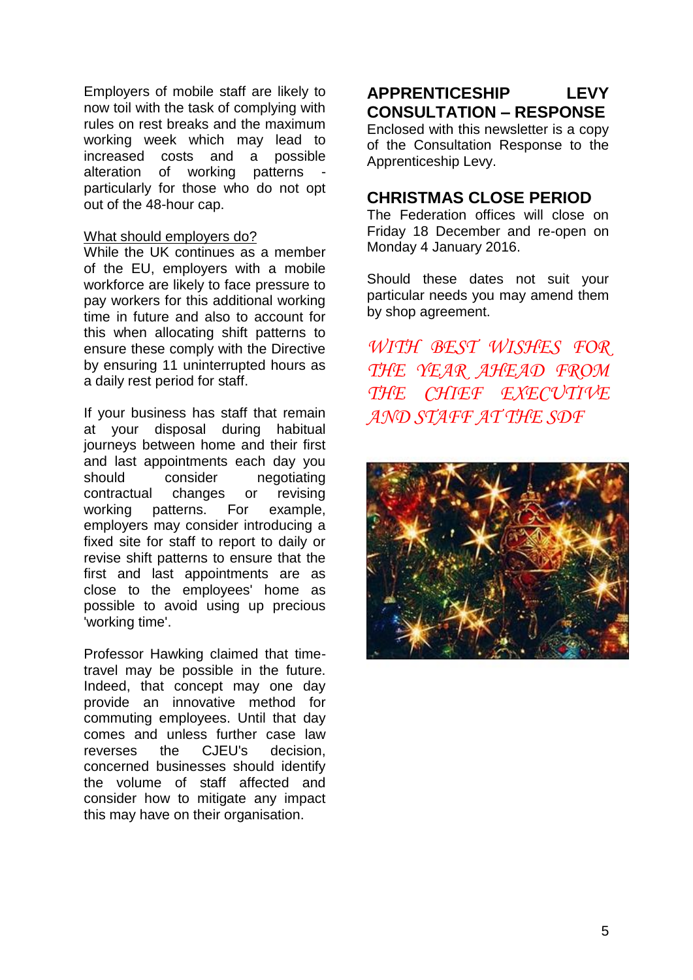Employers of mobile staff are likely to now toil with the task of complying with rules on rest breaks and the maximum working week which may lead to increased costs and a possible alteration of working patterns particularly for those who do not opt out of the 48-hour cap.

### What should employers do?

While the UK continues as a member of the EU, employers with a mobile workforce are likely to face pressure to pay workers for this additional working time in future and also to account for this when allocating shift patterns to ensure these comply with the Directive by ensuring 11 uninterrupted hours as a daily rest period for staff.

If your business has staff that remain at your disposal during habitual journeys between home and their first and last appointments each day you should consider negotiating contractual changes or revising working patterns. For example, employers may consider introducing a fixed site for staff to report to daily or revise shift patterns to ensure that the first and last appointments are as close to the employees' home as possible to avoid using up precious 'working time'.

Professor Hawking claimed that timetravel may be possible in the future. Indeed, that concept may one day provide an innovative method for commuting employees. Until that day comes and unless further case law reverses the CJEU's decision, concerned businesses should identify the volume of staff affected and consider how to mitigate any impact this may have on their organisation.

## **APPRENTICESHIP LEVY CONSULTATION – RESPONSE**

Enclosed with this newsletter is a copy of the Consultation Response to the Apprenticeship Levy.

## **CHRISTMAS CLOSE PERIOD**

The Federation offices will close on Friday 18 December and re-open on Monday 4 January 2016.

Should these dates not suit your particular needs you may amend them by shop agreement.

*WITH BEST WISHES FOR THE YEAR AHEAD FROM THE CHIEF EXECUTIVE AND STAFF AT THE SDF*